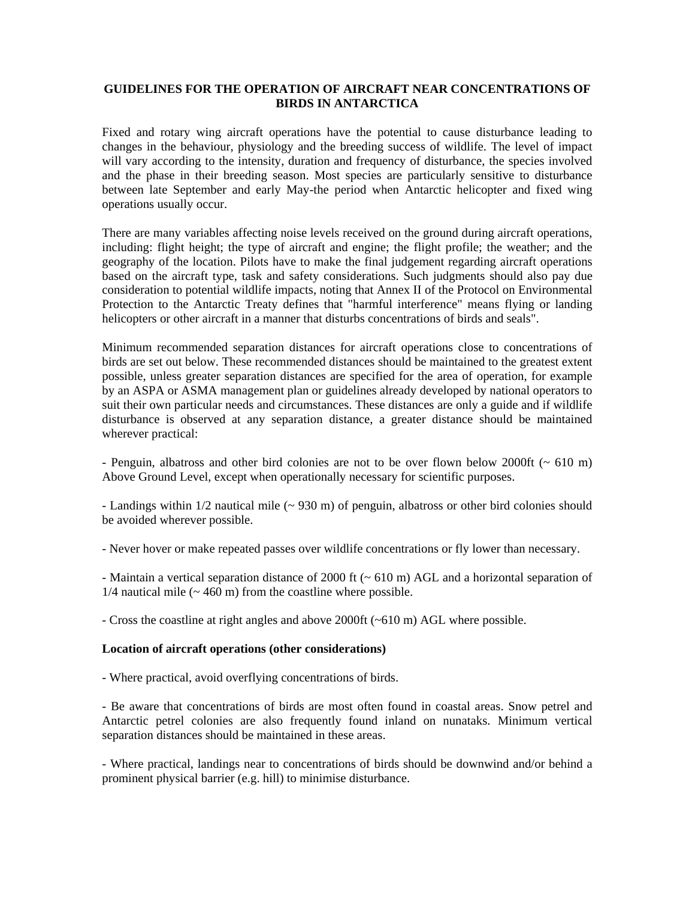## **GUIDELINES FOR THE OPERATION OF AIRCRAFT NEAR CONCENTRATIONS OF BIRDS IN ANTARCTICA**

Fixed and rotary wing aircraft operations have the potential to cause disturbance leading to changes in the behaviour, physiology and the breeding success of wildlife. The level of impact will vary according to the intensity, duration and frequency of disturbance, the species involved and the phase in their breeding season. Most species are particularly sensitive to disturbance between late September and early May-the period when Antarctic helicopter and fixed wing operations usually occur.

There are many variables affecting noise levels received on the ground during aircraft operations, including: flight height; the type of aircraft and engine; the flight profile; the weather; and the geography of the location. Pilots have to make the final judgement regarding aircraft operations based on the aircraft type, task and safety considerations. Such judgments should also pay due consideration to potential wildlife impacts, noting that Annex II of the Protocol on Environmental Protection to the Antarctic Treaty defines that "harmful interference" means flying or landing helicopters or other aircraft in a manner that disturbs concentrations of birds and seals".

Minimum recommended separation distances for aircraft operations close to concentrations of birds are set out below. These recommended distances should be maintained to the greatest extent possible, unless greater separation distances are specified for the area of operation, for example by an ASPA or ASMA management plan or guidelines already developed by national operators to suit their own particular needs and circumstances. These distances are only a guide and if wildlife disturbance is observed at any separation distance, a greater distance should be maintained wherever practical:

- Penguin, albatross and other bird colonies are not to be over flown below 2000ft  $($   $\sim$  610 m) Above Ground Level, except when operationally necessary for scientific purposes.

- Landings within 1/2 nautical mile (~ 930 m) of penguin, albatross or other bird colonies should be avoided wherever possible.

- Never hover or make repeated passes over wildlife concentrations or fly lower than necessary.

- Maintain a vertical separation distance of 2000 ft  $\sim 610$  m) AGL and a horizontal separation of  $1/4$  nautical mile ( $\sim$  460 m) from the coastline where possible.

- Cross the coastline at right angles and above 2000ft (~610 m) AGL where possible.

## **Location of aircraft operations (other considerations)**

- Where practical, avoid overflying concentrations of birds.

- Be aware that concentrations of birds are most often found in coastal areas. Snow petrel and Antarctic petrel colonies are also frequently found inland on nunataks. Minimum vertical separation distances should be maintained in these areas.

- Where practical, landings near to concentrations of birds should be downwind and/or behind a prominent physical barrier (e.g. hill) to minimise disturbance.